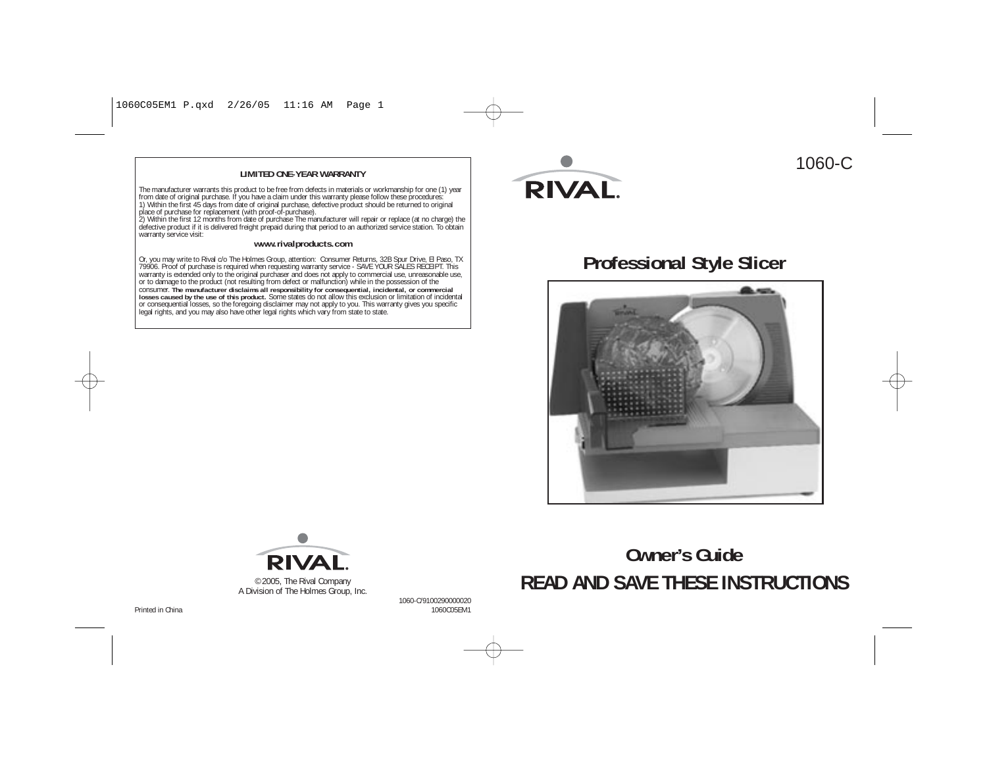#### **LIMITED ONE-YEAR WARRANTY**

The manufacturer warrants this product to be free from defects in materials or workmanship for one (1) year<br>from date of original purchase. If you have a claim under this warranty please follow these procedures:<br>1) Within

warranty service visit:

#### **www.rivalproducts.com**

Or, you may write to Rival c/o The Holmes Group, attention: Consumer Returns, 32B Spur Drive, El Paso, TX<br>79906. Proof of purchase is required when requesting warranty service - SAVE YOUR SALES RECEIPT. This<br>warranty is ex **losses caused by the use of this product.** Some states do not allow this exclusion or limitation of incidental or consequential losses, so the foregoing disclaimer may not apply to you. This warranty gives you specific<br>legal rights, and you may also have other legal rights which vary from state to state.



# 1060-C

# **Professional Style Slicer**





A Division of The Holmes Group, Inc.

1060-C/9100290000020

a and the contract of the contract of the contract of the contract of the contract of the contract of the contract of the contract of the contract of the contract of the contract of the contract of the contract of the cont Printed in China

# **Owner's Guide**©2005, The Rival Company **READ AND SAVE THESE INSTRUCTIONS**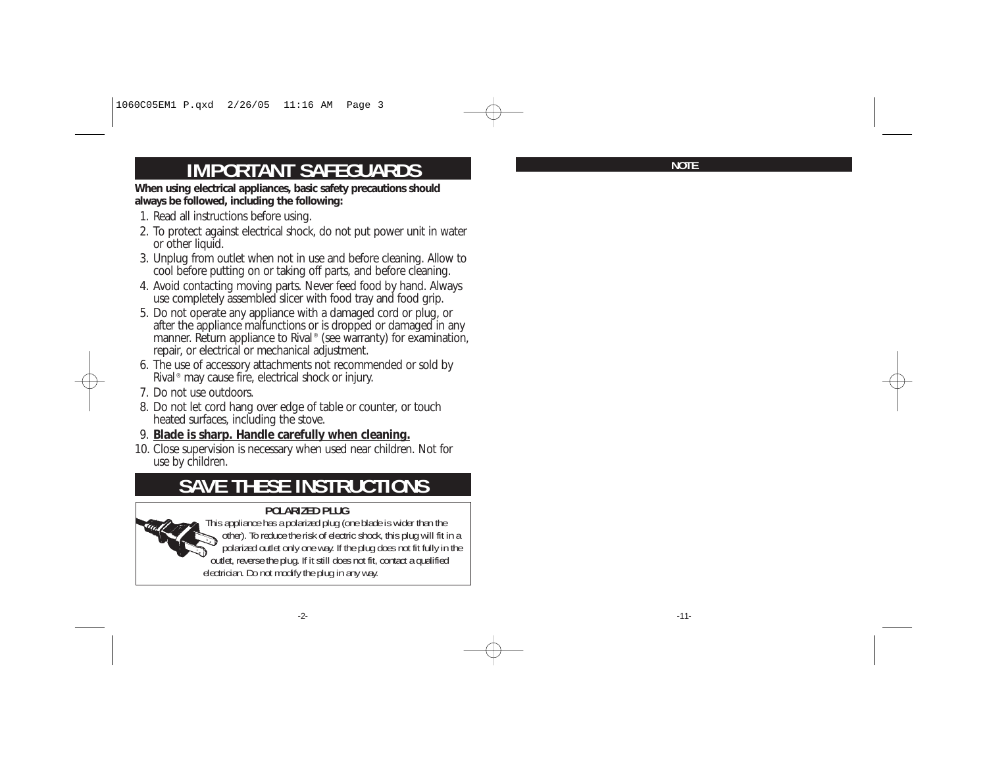# **IMPORTANT SAFEGUARDS**

**When using electrical appliances, basic safety precautions should always be followed, including the following:** 

- 1. Read all instructions before using.
- 2. To protect against electrical shock, do not put power unit in water or other liquid.
- 3. Unplug from outlet when not in use and before cleaning. Allow to cool before putting on or taking off parts, and before cleaning.
- 4. Avoid contacting moving parts. Never feed food by hand. Always use completely assembled slicer with food tray and food grip.
- 5. Do not operate any appliance with a damaged cord or plug, or after the appliance malfunctions or is dropped or damaged in any manner. Return appliance to Rival<sup>®</sup> (see warranty) for examination, repair, or electrical or mechanical adjustment.
- 6. The use of accessory attachments not recommended or sold by Rival ® may cause fire, electrical shock or injury.
- 7. Do not use outdoors.
- 8. Do not let cord hang over edge of table or counter, or touch heated surfaces, including the stove.
- 9. **Blade is sharp. Handle carefully when cleaning.**
- 10. Close supervision is necessary when used near children. Not for use by children.

# **SAVE THESE INSTRUCTIONS**

#### **POLARIZED PLUG**



This appliance has a polarized plug (one blade is wider than the other). To reduce the risk of electric shock, this plug will fit in a polarized outlet only one way. If the plug does not fit fully in the outlet, reverse the plug. If it still does not fit, contact a qualified electrician. Do not modify the plug in any way.

**NOTE**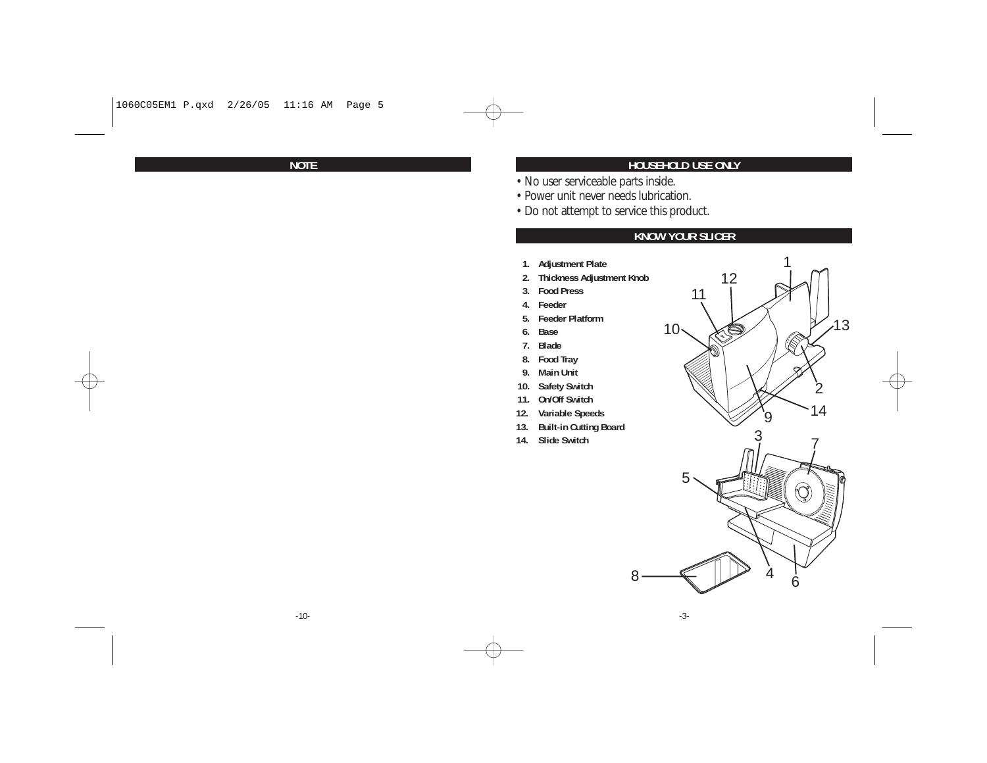**NOTE**

#### **HOUSEHOLD USE ONLY**

- No user serviceable parts inside.
- Power unit never needs lubrication.
- Do not attempt to service this product.

#### **KNOW YOUR SLICER**

- **1. Adjustment Plate**
- **2. Thickness Adjustment Knob**
- **3. Food Press**
- **4. Feeder**
- **5. Feeder Platform**
- **6. Base**
- **7. Blade**
- **8. Food Tray**
- **9. Main Unit**
- **10. Safety Switch**
- **11. On/Off Switch**
- **12. Variable Speeds**
- **13. Built-in Cutting Board**
- **14. Slide Switch**





8

-3-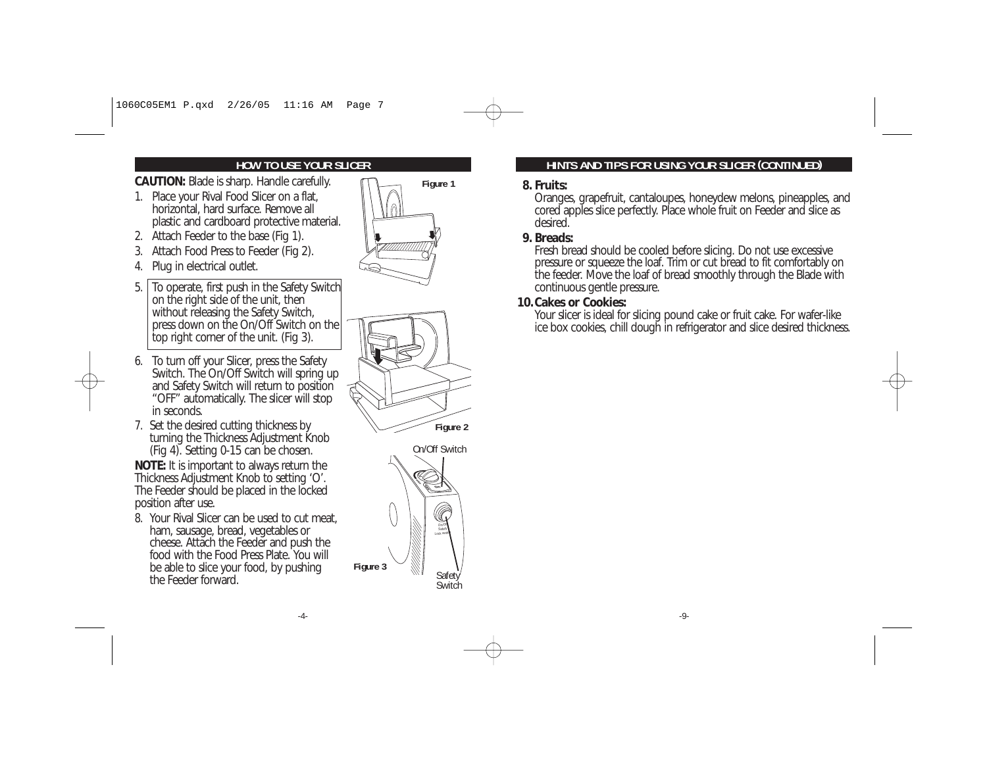# **HOW TO USE YOUR SLICER**

**CAUTION:** Blade is sharp. Handle carefully.

- 1. Place your Rival Food Slicer on a flat, horizontal, hard surface. Remove all plastic and cardboard protective material.
- 2. Attach Feeder to the base (Fig 1).
- 3. Attach Food Press to Feeder (Fig 2).
- 4. Plug in electrical outlet.
- 5. To operate, first push in the Safety Switch on the right side of the unit, then without releasing the Safety Switch, press down on the On/Off Switch on the top right corner of the unit. (Fig 3).
- 6. To turn off your Slicer, press the Safety Switch. The On/Off Switch will spring up and Safety Switch will return to position "OFF" automatically. The slicer will stop in seconds.
- 7. Set the desired cutting thickness by turning the Thickness Adjustment Knob (Fig 4). Setting 0-15 can be chosen.

**NOTE:** It is important to always return the Thickness Adjustment Knob to setting 'O'. The Feeder should be placed in the locked position after use.

8. Your Rival Slicer can be used to cut meat, ham, sausage, bread, vegetables or cheese. Attach the Feeder and push the food with the Food Press Plate. You willbe able to slice your food, by pushing the Feeder forward.

-4-







## **HINTS AND TIPS FOR USING YOUR SLICER (CONTINUED)**

#### **8. Fruits:**

Oranges, grapefruit, cantaloupes, honeydew melons, pineapples, and cored apples slice perfectly. Place whole fruit on Feeder and slice as desired.

# **9. Breads:**

Fresh bread should be cooled before slicing. Do not use excessive pressure or squeeze the loaf. Trim or cut bread to fit comfortably on the feeder. Move the loaf of bread smoothly through the Blade with continuous gentle pressure.

#### **10.Cakes or Cookies:**

 Your slicer is ideal for slicing pound cake or fruit cake. For wafer-like ice box cookies, chill dough in refrigerator and slice desired thickness.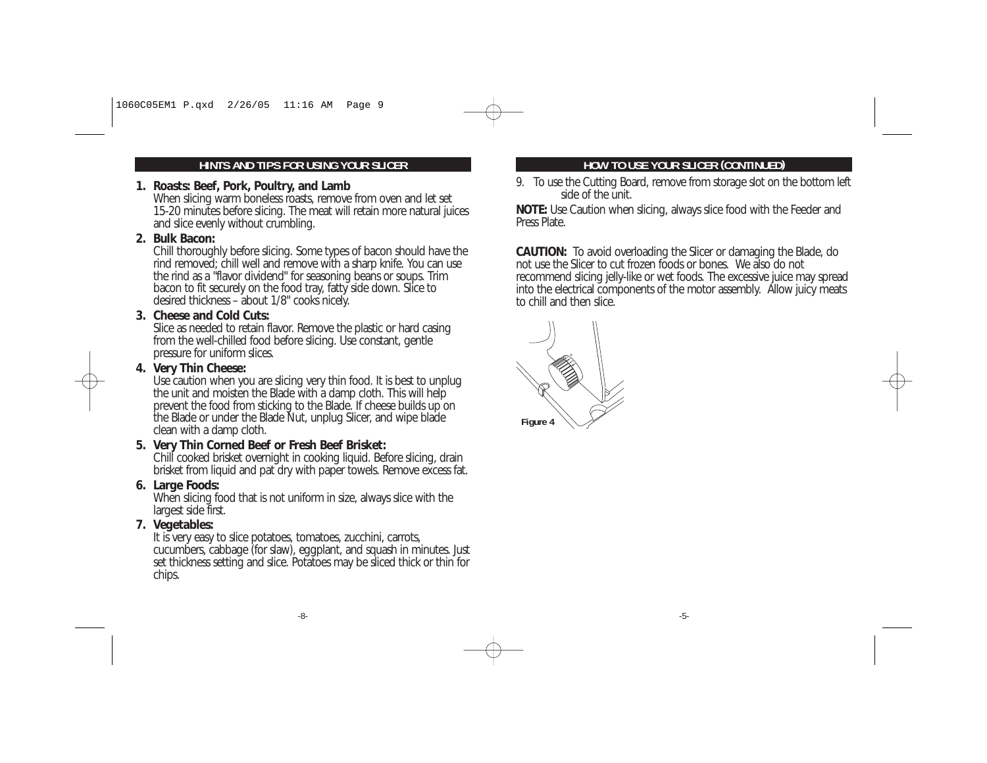# **HINTS AND TIPS FOR USING YOUR SLICER**

### **1. Roasts: Beef, Pork, Poultry, and Lamb**

When slicing warm boneless roasts, remove from oven and let set 15-20 minutes before slicing. The meat will retain more natural juices and slice evenly without crumbling.

#### **2. Bulk Bacon:**

Chill thoroughly before slicing. Some types of bacon should have the rind removed; chill well and remove with a sharp knife. You can use the rind as a "flavor dividend" for seasoning beans or soups. Trim bacon to fit securely on the food tray, fatty side down. Slice to desired thickness – about 1/8" cooks nicely.

#### **3. Cheese and Cold Cuts:**

Slice as needed to retain flavor. Remove the plastic or hard casing from the well-chilled food before slicing. Use constant, gentle pressure for uniform slices.

#### **4. Very Thin Cheese:**

Use caution when you are slicing very thin food. It is best to unplug the unit and moisten the Blade with a damp cloth. This will help prevent the food from sticking to the Blade. If cheese builds up on the Blade or under the Blade Nut, unplug Slicer, and wipe blade clean with a damp cloth.

### **5. Very Thin Corned Beef or Fresh Beef Brisket:**

Chill cooked brisket overnight in cooking liquid. Before slicing, drain brisket from liquid and pat dry with paper towels. Remove excess fat.

### **6. Large Foods:**

When slicing food that is not uniform in size, always slice with the largest side first.

### **7. Vegetables:**

It is very easy to slice potatoes, tomatoes, zucchini, carrots, cucumbers, cabbage (for slaw), eggplant, and squash in minutes. Just set thickness setting and slice. Potatoes may be sliced thick or thin for chips.

# **HOW TO USE YOUR SLICER (CONTINUED)**

9. To use the Cutting Board, remove from storage slot on the bottom left side of the unit.

**NOTE:** Use Caution when slicing, always slice food with the Feeder and Press Plate.

**CAUTION:** To avoid overloading the Slicer or damaging the Blade, do not use the Slicer to cut frozen foods or bones. We also do not recommend slicing jelly-like or wet foods. The excessive juice may spread into the electrical components of the motor assembly. Allow juicy meats to chill and then slice.